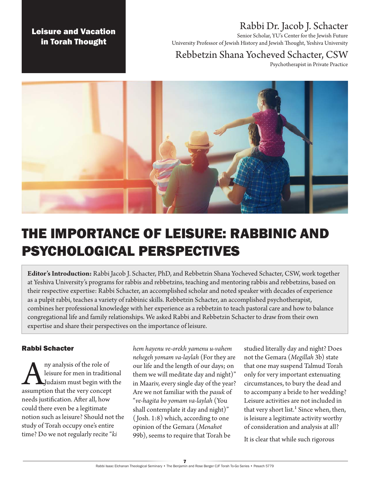### Leisure and Vacation in Torah Thought

## Rabbi Dr. Jacob J. Schacter

Senior Scholar, YU's Center for the Jewish Future University Professor of Jewish History and Jewish Thought, Yeshiva University

## Rebbetzin Shana Yocheved Schacter, CSW

Psychotherapist in Private Practice



# THE IMPORTANCE OF LEISURE: RABBINIC AND PSYCHOLOGICAL PERSPECTIVES

**Editor's Introduction:** Rabbi Jacob J. Schacter, PhD, and Rebbetzin Shana Yocheved Schacter, CSW, work together at Yeshiva University's programs for rabbis and rebbetzins, teaching and mentoring rabbis and rebbetzins, based on their respective expertise: Rabbi Schacter, an accomplished scholar and noted speaker with decades of experience as a pulpit rabbi, teaches a variety of rabbinic skills. Rebbetzin Schacter, an accomplished psychotherapist, combines her professional knowledge with her experience as a rebbetzin to teach pastoral care and how to balance congregational life and family relationships. We asked Rabbi and Rebbetzin Schacter to draw from their own expertise and share their perspectives on the importance of leisure.

#### Rabbi Schacter

Any analysis of the role of<br>leisure for men in tradition<br>Judaism must begin with<br>assumption that the very concept leisure for men in traditional Judaism must begin with the needs justification. After all, how could there even be a legitimate notion such as leisure? Should not the study of Torah occupy one's entire time? Do we not regularly recite "*ki* 

*hem hayenu ve-orekh yamenu u-vahem nehegeh yomam va-laylah* (For they are our life and the length of our days; on them we will meditate day and night)" in Maariv, every single day of the year? Are we not familiar with the *pasuk* of "*ve-hagita bo yomam va-laylah* (You shall contemplate it day and night)" ( Josh. 1:8) which, according to one opinion of the Gemara (*Menahot*  99b), seems to require that Torah be

studied literally day and night? Does not the Gemara (*Megillah* 3b) state that one may suspend Talmud Torah only for very important extenuating circumstances, to bury the dead and to accompany a bride to her wedding? Leisure activities are not included in that very short list.<sup>1</sup> Since when, then, is leisure a legitimate activity worthy of consideration and analysis at all?

It is clear that while such rigorous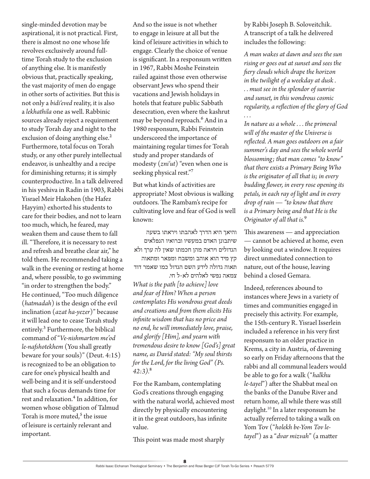single-minded devotion may be aspirational, it is not practical. First, there is almost no one whose life revolves exclusively around fulltime Torah study to the exclusion of anything else. It is manifestly obvious that, practically speaking, the vast majority of men do engage in other sorts of activities. But this is not only a *bidi'eved* reality, it is also a *lekhathila* one as well. Rabbinic sources already reject a requirement to study Torah day and night to the exclusion of doing anything else.<sup>2</sup> Furthermore, total focus on Torah study, or any other purely intellectual endeavor, is unhealthy and a recipe for diminishing returns; it is simply counterproductive. In a talk delivered in his yeshiva in Radin in 1903, Rabbi Yisrael Meir Hakohen (the Hafez Hayyim) exhorted his students to care for their bodies, and not to learn too much, which, he feared, may weaken them and cause them to fall ill. "Therefore, it is necessary to rest and refresh and breathe clear air," he told them. He recommended taking a walk in the evening or resting at home and, where possible, to go swimming "in order to strengthen the body." He continued, "Too much diligence (*hatmadah*) is the design of the evil inclination (*azat ha-yezer*)" because it will lead one to cease Torah study entirely.<sup>3</sup> Furthermore, the biblical command of "*Ve-nishmartem me'od le-nafshotekhem* (You shall greatly beware for your souls)" (Deut. 4:15) is recognized to be an obligation to care for one's physical health and well-being and it is self-understood that such a focus demands time for rest and relaxation.⁴ In addition, for women whose obligation of Talmud Torah is more muted, $5$  the issue of leisure is certainly relevant and important.

And so the issue is not whether to engage in leisure at all but the kind of leisure activities in which to engage. Clearly the choice of venue is significant. In a responsum written in 1967, Rabbi Moshe Feinstein railed against those even otherwise observant Jews who spend their vacations and Jewish holidays in hotels that feature public Sabbath desecration, even where the kashrut may be beyond reproach.<sup>6</sup> And in a 1980 responsum, Rabbi Feinstein underscored the importance of maintaining regular times for Torah study and proper standards of modesty (*zni'ut*) "even when one is seeking physical rest."

But what kinds of activities are appropriate? Most obvious is walking outdoors. The Rambam's recipe for cultivating love and fear of God is well known:

והיאך היא הדרך לאהבתו ויראתו בשעה שיתבונן האדם במעשיו וברואיו הנפלאים הגדולים ויראה מהן חכמתו שאין לה ערך ולא קץ מיד הוא אוהב ומשבח ומפאר ומתאוה תאוה גדולה לידע השם הגדול כמו שאמר דוד צמאה נפשי לאלהים לא-ל חי.

*What is the path [to achieve] love and fear of Him? When a person contemplates His wondrous great deeds and creations and from them elicits His infinite wisdom that has no price and no end, he will immediately love, praise, and glorify [Him], and yearn with tremendous desire to know [God's] great name, as David stated: "My soul thirsts for the Lord, for the living God" (Ps. 42:3).*⁸

For the Rambam, contemplating God's creations through engaging with the natural world, achieved most directly by physically encountering it in the great outdoors, has infinite value.

This point was made most sharply

by Rabbi Joseph B. Soloveitchik. A transcript of a talk he delivered includes the following:

*A man wakes at dawn and sees the sun rising or goes out at sunset and sees the fiery clouds which drape the horizon in the twilight of a weekday at dusk . . . must see in the splendor of sunrise and sunset, in this wondrous cosmic regularity, a reflection of the glory of God . . .*

*In nature as a whole . . . the primeval will of the master of the Universe is reflected. A man goes outdoors on a fair summer's day and sees the whole world blossoming; that man comes "to know" that there exists a Primary Being Who is the originator of all that is; in every budding flower, in every rose opening its petals, in each ray of light and in every drop of rain — "to know that there is a Primary being and that He is the Originator of all that is.*⁹

This awareness — and appreciation — cannot be achieved at home, even by looking out a window. It requires direct unmediated connection to nature, out of the house, leaving behind a closed Gemara.

Indeed, references abound to instances where Jews in a variety of times and communities engaged in precisely this activity. For example, the 15th-century R. Yisrael Isserlein included a reference in his very first responsum to an older practice in Krems, a city in Austria, of davening so early on Friday afternoons that the rabbi and all communal leaders would be able to go for a walk ("*halkhu le-tayel*") after the Shabbat meal on the banks of the Danube River and return home, all while there was still daylight.10 In a later responsum he actually referred to taking a walk on Yom Tov ("*holekh be-Yom Tov letayel*") as a "*dvar mizvah*" (a matter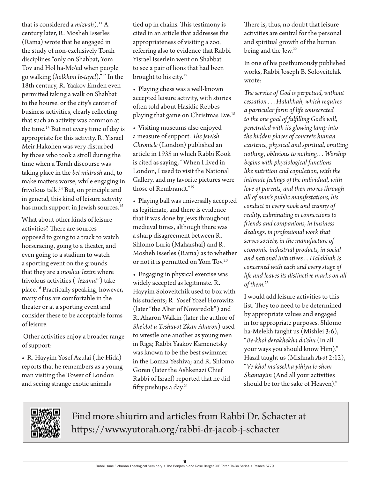that is considered a *mizvah*).<sup>11</sup> A century later, R. Mosheh Isserles (Rama) wrote that he engaged in the study of non-exclusively Torah disciplines "only on Shabbat, Yom Tov and Hol ha-Mo'ed when people go walking (*holkhim le-tayel*)."12 In the 18th century, R. Yaakov Emden even permitted taking a walk on Shabbat to the bourse, or the city's center of business activities, clearly reflecting that such an activity was common at the time.13 But not every time of day is appropriate for this activity. R. Yisrael Meir Hakohen was very disturbed by those who took a stroll during the time when a Torah discourse was taking place in the *bet midrash* and, to make matters worse, while engaging in frivolous talk.14 But, on principle and in general, this kind of leisure activity has much support in Jewish sources.<sup>15</sup>

What about other kinds of leisure activities? There are sources opposed to going to a track to watch horseracing, going to a theater, and even going to a stadium to watch a sporting event on the grounds that they are a *moshav lezim* where frivolous activities ("*lezanut*") take place.16 Practically speaking, however, many of us are comfortable in the theater or at a sporting event and consider these to be acceptable forms of leisure.

 Other activities enjoy a broader range of support:

• R. Hayyim Yosef Azulai (the Hida) reports that he remembers as a young man visiting the Tower of London and seeing strange exotic animals

tied up in chains. This testimony is cited in an article that addresses the appropriateness of visiting a zoo, referring also to evidence that Rabbi Yisrael Isserlein went on Shabbat to see a pair of lions that had been brought to his city.<sup>17</sup>

• Playing chess was a well-known accepted leisure activity, with stories often told about Hasidic Rebbes playing that game on Christmas Eve.<sup>18</sup>

• Visiting museums also enjoyed a measure of support. *The Jewish Chronicle* (London) published an article in 1935 in which Rabbi Kook is cited as saying, "When I lived in London, I used to visit the National Gallery, and my favorite pictures were those of Rembrandt."19

• Playing ball was universally accepted as legitimate, and there is evidence that it was done by Jews throughout medieval times, although there was a sharp disagreement between R. Shlomo Luria (Maharshal) and R. Mosheh Isserles (Rama) as to whether or not it is permitted on Yom Tov.<sup>20</sup>

• Engaging in physical exercise was widely accepted as legitimate. R. Hayyim Soloveitchik used to box with his students; R. Yosef Yozel Horowitz (later "the Alter of Novaredok") and R. Aharon Walkin (later the author of *She'elot u-Teshuvot Zkan Aharon*) used to wrestle one another as young men in Riga; Rabbi Yaakov Kamenetsky was known to be the best swimmer in the Lomza Yeshiva; and R. Shlomo Goren (later the Ashkenazi Chief Rabbi of Israel) reported that he did fifty pushups a day.<sup>21</sup>

There is, thus, no doubt that leisure activities are central for the personal and spiritual growth of the human being and the Jew.<sup>22</sup>

In one of his posthumously published works, Rabbi Joseph B. Soloveitchik wrote:

*The service of God is perpetual, without cessation . . . Halakhah, which requires a particular form of life consecrated to the one goal of fulfilling God's will, penetrated with its glowing lamp into the hidden places of concrete human existence, physical and spiritual, omitting nothing, oblivious to nothing. . . Worship begins with physiological functions like nutrition and copulation, with the intimate feelings of the individual, with love of parents, and then moves through all of man's public manifestations, his conduct in every nook and cranny of reality, culminating in connections to friends and companions, in business dealings, in professional work that serves society, in the manufacture of economic-industrial products, in social and national initiatives ... Halakhah is concerned with each and every stage of life and leaves its distinctive marks on all of them.*<sup>23</sup>

I would add leisure activities to this list. They too need to be determined by appropriate values and engaged in for appropriate purposes. Shlomo ha-Melekh taught us (Mishlei 3:6), "*Be-khol derakhekha da'ehu* (In all your ways you should know Him)." Hazal taught us (Mishnah *Avot* 2:12), "*Ve-khol ma'asekha yihiyu le-shem Shamayim* (And all your activities should be for the sake of Heaven)."



Find more shiurim and articles from Rabbi Dr. Schacter at https://www.yutorah.org/rabbi-dr-jacob-j-schacter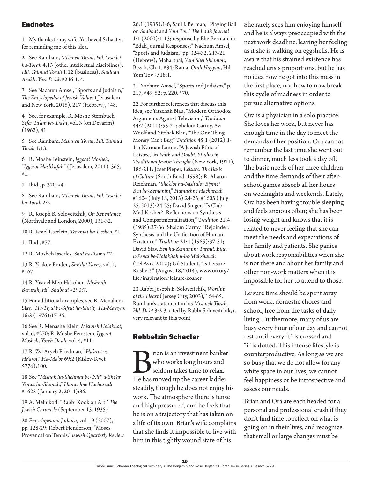#### **Endnotes**

1 My thanks to my wife, Yocheved Schacter, for reminding me of this idea.

2 See Rambam, *Mishneh Torah*, *Hil. Yesodei ha-Torah* 4:13 (other intellectual disciplines); *Hil. Talmud Torah* 1:12 (business); *Shulhan Arukh*, *Yore De'ah* #246:1, 4.

3 See Nachum Amsel, "Sports and Judaism," *The Encyclopedia of Jewish Values* ( Jerusalem and New York, 2015), 217 (Hebrew), #48.

4 See, for example, R. Moshe Sternbuch, *Sefer Ta'am va- Da'at*, vol. 3 (on Devarim) (1962), 41.

5 See Rambam, *Mishneh Torah*, *Hil. Talmud Torah* 1:13.

6 R. Moshe Feinstein, *Iggerot Mosheh*, "*Iggerot Hashkafah*" ( Jerusalem, 2011), 365, #1.

7 Ibid., p. 370, #4.

8 See Rambam, *Mishneh Torah*, *Hil. Yesodei ha-Torah* 2:2.

9 R. Joseph B. Soloveitchik, *On Repentance* (Northvale and London, 2000), 131-32.

10 R. Israel Isserlein, *Terumat ha-Deshen*, #1.

11 Ibid., #77.

12 R. Mosheh Isserles, *Shut ha-Rama* #7.

13 R. Yaakov Emden, *She'ilat Yavez*, vol. 1, #167.

14 R. Yisrael Meir Hakohen, *Mishnah Berurah*, *Hil. Shabbat* #290:7.

15 For additional examples, see R. Menahem Slay, "*Ha-Tiyul be-Sifrut ha-Shu"t*," *Ha-Ma'ayan* 16:3 (1976):17-35.

16 See R. Menashe Klein, *Mishneh Halakhot*, vol. 6, #270; R. Moshe Feinstein, *Iggerot Mosheh*, *Yoreh De'ah*, vol. 4, #11.

17 R. Zvi Aryeh Friedman, "*Ha'arot ve-He'arot*," *Ha-Ma'or* 69:2 (Kislev-Tevet 5776):100.

18 See "*Mishak ha-Shehmat be-'Nitl' u-She'ar Yemot ha-Shanah*," *Hamachne Hachareidi* #1625 ( January 2, 2014):36.

19 A. Melnikoff, "Rabbi Kook on Art," *The Jewish Chronicle* (September 13, 1935).

20 *Encyclopeadia Judaica*, vol. 19 (2007), pp. 128-29; Robert Henderson, "Moses Provencal on Tennis," *Jewish Quarterly Review* 26:1 (1935):1-6; Saul J. Berman, "Playing Ball on *Shabbat* and *Yom Tov*," *The Edah Journal* 1:1 (2000):1-13; response by Elie Berman, in "Edah Journal Responses;" Nachum Amsel, "Sports and Judaism," pp. 324-32, 213-21 (Hebrew); Maharshal, *Yam Shel Shlomoh*, Bezah, Ch. 1, #34; Rama, *Orah Hayyim*, Hil. Yom Tov #518:1.

21 Nachum Amsel, "Sports and Judaism," p. 217, #49, 52; p. 220, #70.

22 For further references that discuss this idea, see Yitzchak Blau, "Modern Orthodox Arguments Against Television," *Tradition* 44:2 (2011):53-71; Shalom Carmy, Avi Woolf and Yitzhak Blau, "The One Thing Money Can't Buy," *Tradition* 45:1 (2012):1- 11; Norman Lamm, "A Jewish Ethic of Leisure," in *Faith and Doubt: Studies in Traditional Jewish Thought* (New York, 1971), 186-211; Josef Pieper, *Leisure: The Basis of Culture* (South Bend, 1998); R. Aharon Reichman, "*She'elot ha-Nish'alot Biymei Ben ha-Zemanim*," *Hamachne Hachareidi* #1604 ( July 18, 2013):24-25; #1605 ( July 25, 2013):24-25; David Singer, "Is Club Med Kosher?: Reflections on Synthesis and Compartmentalization," *Tradition* 21:4 (1985):27-36; Shalom Carmy, "Rejoinder: Synthesis and the Unification of Human Existence," *Tradition* 21:4 (1985):37-51; David Stav, *Ben ha-Zemanim: Tarbut, Biluy u-Penai be-Halakhah u-be-Mahshavah* (Tel Aviv, 2012); Gil Student, "Is Leisure Kosher?," (August 18, 2014), [www.ou.org/](http://www.ou.org/life/inspiration/leisure-kosher) [life/inspiration/leisure-kosher](http://www.ou.org/life/inspiration/leisure-kosher).

23 Rabbi Joseph B. Soloveitchik, *Worship of the Heart* ( Jersey City, 2003), 164-65. Rambam's statement in his *Mishneh Torah*, *Hil. De'ot* 3:2-3, cited by Rabbi Soloveitchik, is very relevant to this point.

#### Rebbetzin Schacter

**Brian** is an investment banker<br>who works long hours and<br>seldom takes time to relax.<br>He has moved up the career ladder who works long hours and seldom takes time to relax. steadily, though he does not enjoy his work. The atmosphere there is tense and high pressured, and he feels that he is on a trajectory that has taken on a life of its own. Brian's wife complains that she finds it impossible to live with him in this tightly wound state of his:

She rarely sees him enjoying himself and he is always preoccupied with the next work deadline, leaving her feeling as if she is walking on eggshells. He is aware that his strained existence has reached crisis proportions, but he has no idea how he got into this mess in the first place, nor how to now break this cycle of madness in order to pursue alternative options.

Ora is a physician in a solo practice. She loves her work, but never has enough time in the day to meet the demands of her position. Ora cannot remember the last time she went out to dinner, much less took a day off. The basic needs of her three children and the time demands of their afterschool games absorb all her hours on weeknights and weekends. Lately, Ora has been having trouble sleeping and feels anxious often; she has been losing weight and knows that it is related to never feeling that she can meet the needs and expectations of her family and patients. She panics about work responsibilities when she is not there and about her family and other non-work matters when it is impossible for her to attend to those.

Leisure time should be spent away from work, domestic chores and school, free from the tasks of daily living. Furthermore, many of us are busy every hour of our day and cannot rest until every "t" is crossed and "i" is dotted. This intense lifestyle is counterproductive. As long as we are so busy that we do not allow for any white space in our lives, we cannot feel happiness or be introspective and assess our needs.

Brian and Ora are each headed for a personal and professional crash if they don't find time to reflect on what is going on in their lives, and recognize that small or large changes must be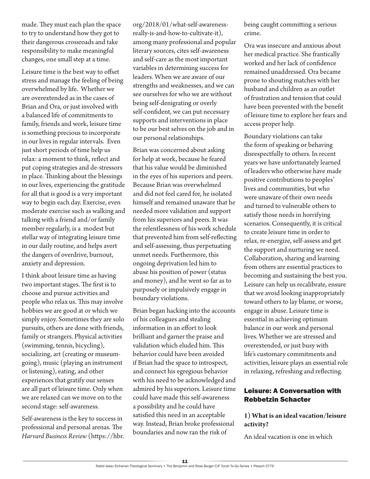made. They must each plan the space to try to understand how they got to their dangerous crossroads and take responsibility to make meaningful changes, one small step at a time.

Leisure time is the best way to offset stress and manage the feeling of being overwhelmed by life. Whether we are overextended as in the cases of Brian and Ora, or just involved with a balanced life of commitments to family, friends and work, leisure time is something precious to incorporate in our lives in regular intervals. Even just short periods of time help us relax: a moment to think, reflect and put coping strategies and de-stressors in place. Thinking about the blessings in our lives, experiencing the gratitude for all that is good is a very important way to begin each day. Exercise, even moderate exercise such as walking and talking with a friend and/or family member regularly, is a modest but stellar way of integrating leisure time in our daily routine, and helps avert the dangers of overdrive, burnout, anxiety and depression.

I think about leisure time as having two important stages. The first is to choose and pursue activities and people who relax us. This may involve hobbies we are good at or which we simply enjoy. Sometimes they are solo pursuits, others are done with friends, family or strangers. Physical activities (swimming, tennis, bicycling), socializing, art (creating or museumgoing), music (playing an instrument or listening), eating, and other experiences that gratify our senses are all part of leisure time. Only when we are relaxed can we move on to the second stage: self-awareness.

Self-awareness is the key to success in professional and personal arenas. The *Harvard Business Review* (https://hbr. org/2018/01/what-self-awarenessreally-is-and-how-to-cultivate-it), among many professional and popular literary sources, cites self-awareness and self-care as the most important variables in determining success for leaders. When we are aware of our strengths and weaknesses, and we can see ourselves for who we are without being self-denigrating or overly self-confident, we can put necessary supports and interventions in place to be our best selves on the job and in our personal relationships.

Brian was concerned about asking for help at work, because he feared that his value would be diminished in the eyes of his superiors and peers. Because Brian was overwhelmed and did not feel cared for, he isolated himself and remained unaware that he needed more validation and support from his superiors and peers. It was the relentlessness of his work schedule that prevented him from self-reflecting and self-assessing, thus perpetuating unmet needs. Furthermore, this ongoing deprivation led him to abuse his position of power (status and money), and he went so far as to purposely or impulsively engage in boundary violations.

Brian began hacking into the accounts of his colleagues and stealing information in an effort to look brilliant and garner the praise and validation which eluded him. This behavior could have been avoided if Brian had the space to introspect, and connect his egregious behavior with his need to be acknowledged and admired by his superiors. Leisure time could have made this self-awareness a possibility and he could have satisfied this need in an acceptable way. Instead, Brian broke professional boundaries and now ran the risk of

being caught committing a serious crime.

Ora was insecure and anxious about her medical practice. She frantically worked and her lack of confidence remained unaddressed. Ora became prone to shouting matches with her husband and children as an outlet of frustration and tension that could have been prevented with the benefit of leisure time to explore her fears and access proper help.

Boundary violations can take the form of speaking or behaving disrespectfully to others. In recent years we have unfortunately learned of leaders who otherwise have made positive contributions to peoples' lives and communities, but who were unaware of their own needs and turned to vulnerable others to satisfy those needs in horrifying scenarios. Consequently, it is critical to create leisure time in order to relax, re-energize, self-assess and get the support and nurturing we need. Collaboration, sharing and learning from others are essential practices to becoming and sustaining the best you. Leisure can help us recalibrate, ensure that we avoid looking inappropriately toward others to lay blame, or worse, engage in abuse. Leisure time is essential in achieving optimum balance in our work and personal lives. Whether we are stressed and overextended, or just busy with life's customary commitments and activities, leisure plays an essential role in relaxing, refreshing and reflecting.

#### Leisure: A Conversation with Rebbetzin Schacter

#### **1) What is an ideal vacation/leisure activity?**

An ideal vacation is one in which